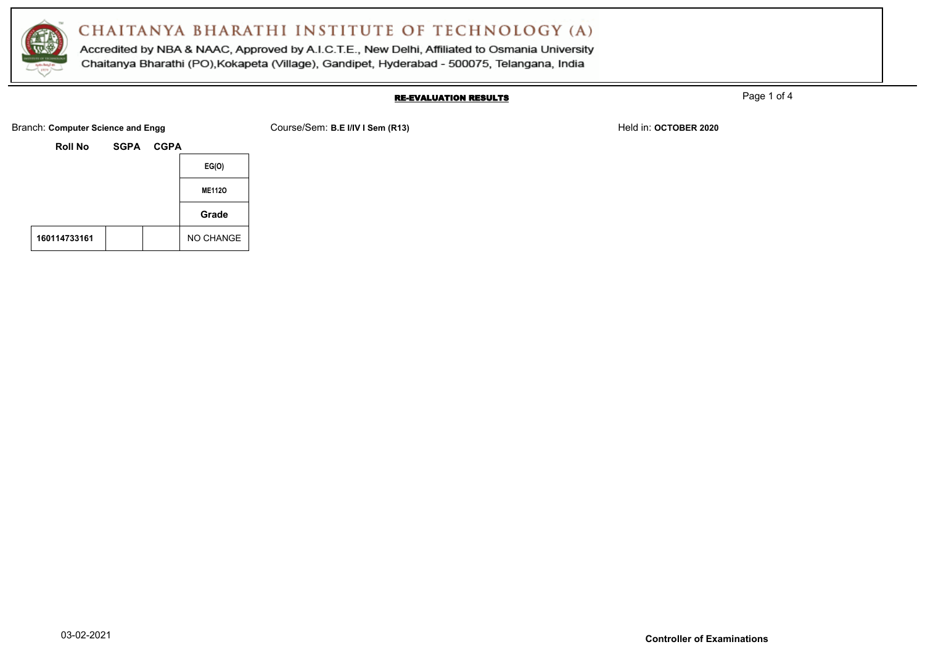

Accredited by NBA & NAAC, Approved by A.I.C.T.E., New Delhi, Affiliated to Osmania University Chaitanya Bharathi (PO), Kokapeta (Village), Gandipet, Hyderabad - 500075, Telangana, India

#### RE-EVALUATION RESULTS

Page 1 of 4

**Roll No SGPA CGPA EG(O) ME112O Grade 160114733161** NO CHANGE

Branch: **Computer Science and Engg** Course/Sem: **B.E I/IV I Sem (R13)** Held in: **OCTOBER 2020** Held in: **OCTOBER 2020**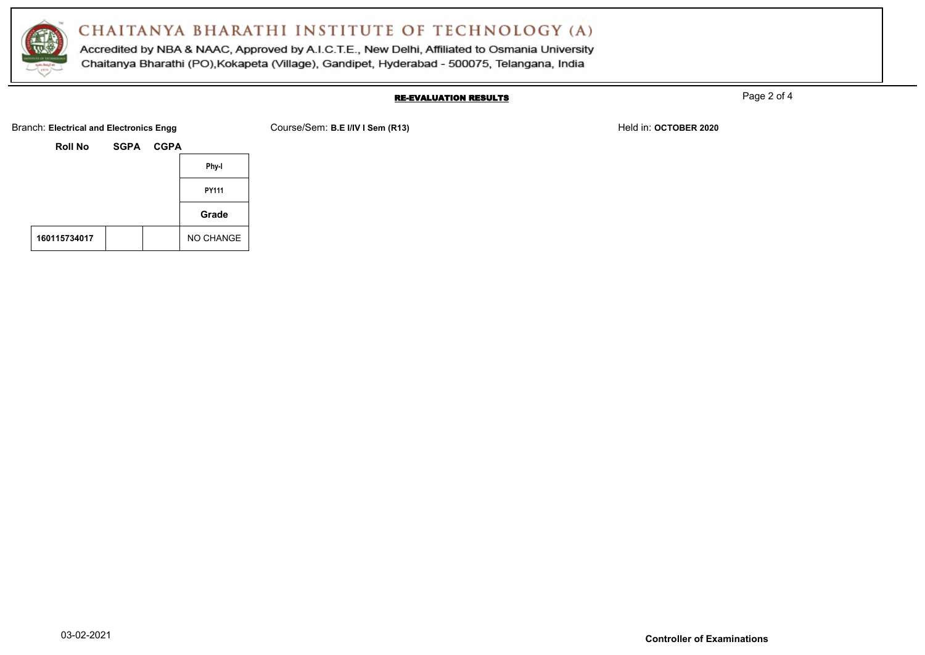

Accredited by NBA & NAAC, Approved by A.I.C.T.E., New Delhi, Affiliated to Osmania University Chaitanya Bharathi (PO), Kokapeta (Village), Gandipet, Hyderabad - 500075, Telangana, India

### RE-EVALUATION RESULTS

Page 2 of 4

|              |      |             | station: Electrical and Electromec Engg |  |
|--------------|------|-------------|-----------------------------------------|--|
|              | CGPA | <b>SGPA</b> | <b>Roll No</b>                          |  |
| Phy-I        |      |             |                                         |  |
| <b>PY111</b> |      |             |                                         |  |
| Grade        |      |             |                                         |  |

|              |  | Grade     |
|--------------|--|-----------|
| 160115734017 |  | NO CHANGE |

Branch: Electrical and Electronics Engg **Course/Sem: B.E I/IV I Sem (R13)** Held in: OCTOBER 2020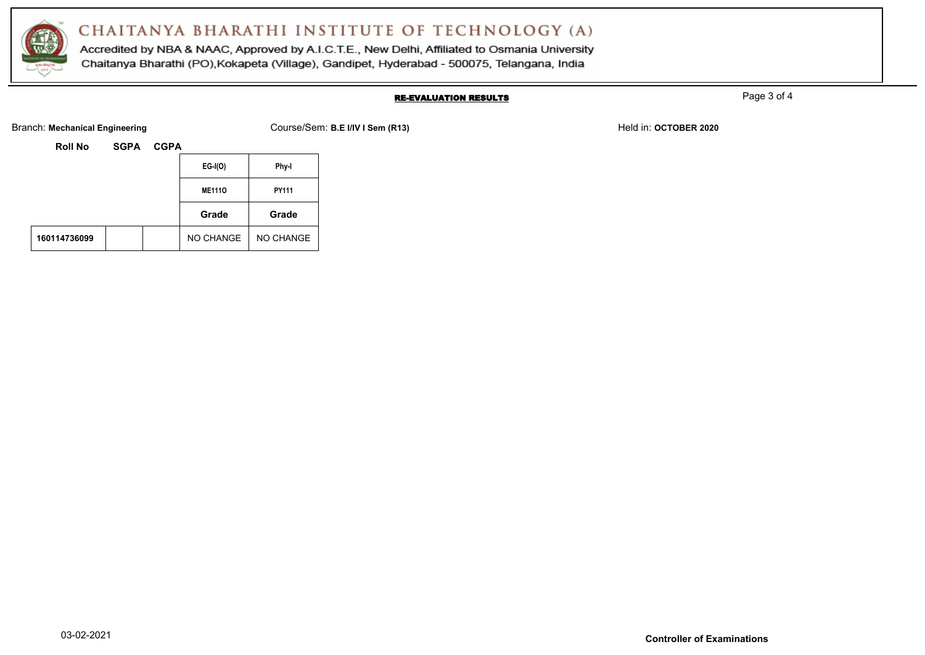

Accredited by NBA & NAAC, Approved by A.I.C.T.E., New Delhi, Affiliated to Osmania University Chaitanya Bharathi (PO), Kokapeta (Village), Gandipet, Hyderabad - 500075, Telangana, India

### RE-EVALUATION RESULTS

Page 3 of 4

Branch: Mechanical Engineering **Course/Sem: B.E I/IV I Sem (R13)** Held in: OCTOBER 2020

| Roll No | <b>SGPA</b> | <b>CGPA</b> |
|---------|-------------|-------------|
|         |             |             |

|              |  | $EG-I(O)$     | Phy-I     |
|--------------|--|---------------|-----------|
|              |  | <b>ME1110</b> | PY111     |
|              |  | Grade         | Grade     |
| 160114736099 |  | NO CHANGE     | NO CHANGE |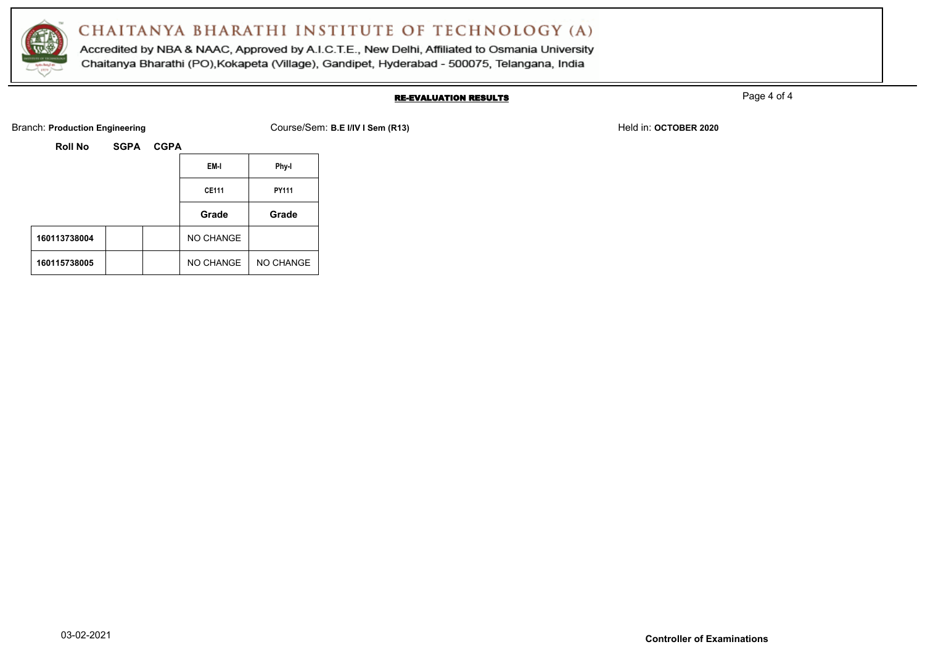

Accredited by NBA & NAAC, Approved by A.I.C.T.E., New Delhi, Affiliated to Osmania University Chaitanya Bharathi (PO), Kokapeta (Village), Gandipet, Hyderabad - 500075, Telangana, India

### RE-EVALUATION RESULTS

Page 4 of 4

Branch: **Production Engineering** Course/Sem: **B.E I/IV I Sem (R13)** Held in: **OCTOBER 2020** Held in: **OCTOBER 2020** 

| Roll No | <b>SGPA</b> |
|---------|-------------|
|         |             |

|              |  | EM-I         | Phy-I        |
|--------------|--|--------------|--------------|
|              |  | <b>CE111</b> | <b>PY111</b> |
|              |  | Grade        | Grade        |
| 160113738004 |  | NO CHANGE    |              |
| 160115738005 |  | NO CHANGE    | NO CHANGE    |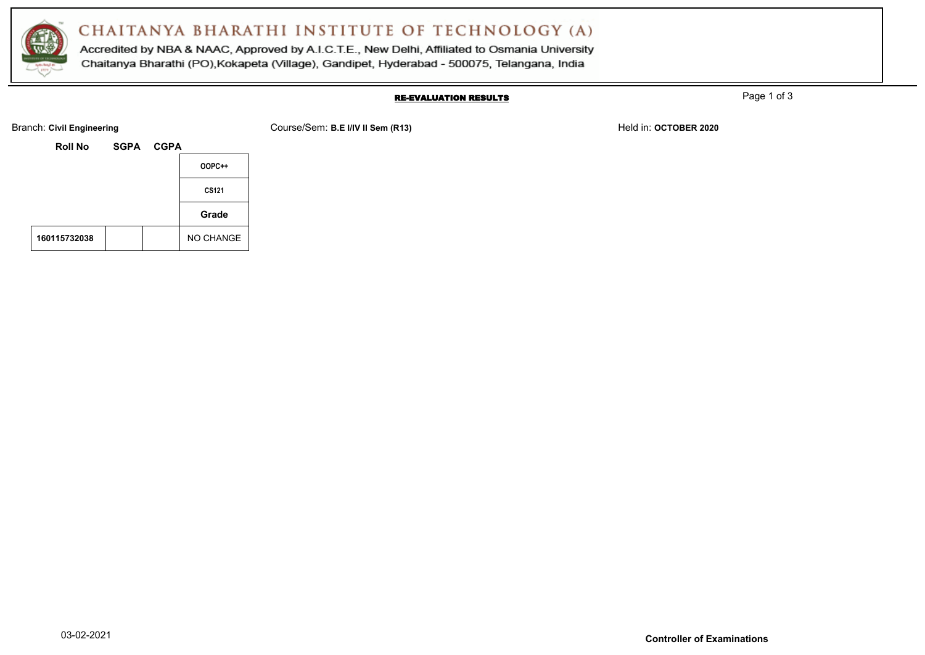

Accredited by NBA & NAAC, Approved by A.I.C.T.E., New Delhi, Affiliated to Osmania University Chaitanya Bharathi (PO), Kokapeta (Village), Gandipet, Hyderabad - 500075, Telangana, India

#### RE-EVALUATION RESULTS

Page 1 of 3

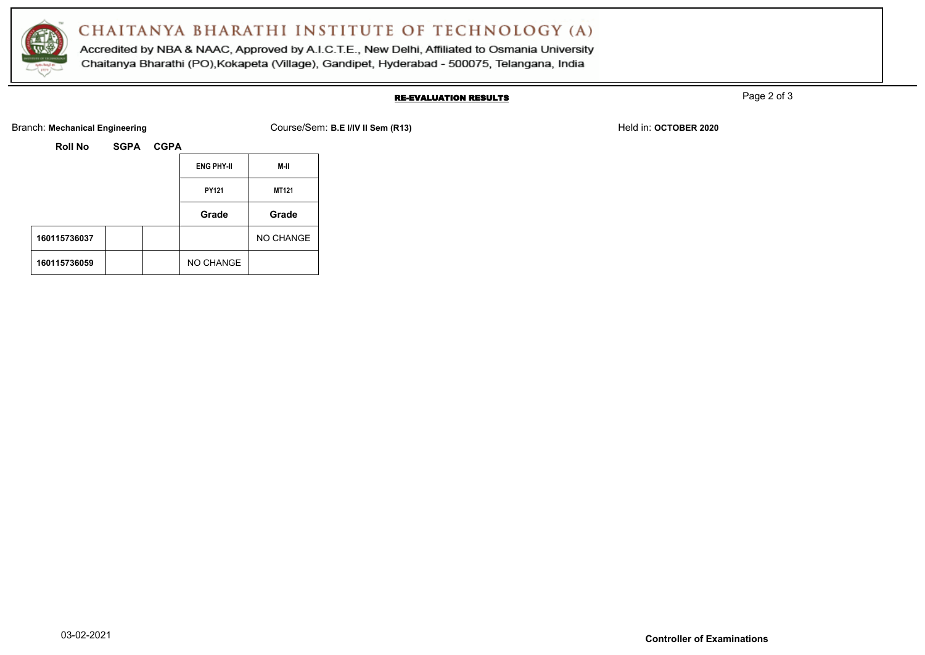

Accredited by NBA & NAAC, Approved by A.I.C.T.E., New Delhi, Affiliated to Osmania University Chaitanya Bharathi (PO), Kokapeta (Village), Gandipet, Hyderabad - 500075, Telangana, India

### RE-EVALUATION RESULTS

Page 2 of 3

Branch: Mechanical Engineering **Course/Sem: B.E I/IV II Sem (R13)** Held in: OCTOBER 2020

| Roll No | <b>SGPA</b> | <b>CGPA</b> |
|---------|-------------|-------------|
|         |             |             |

|              |  | <b>ENG PHY-II</b> | M-II         |
|--------------|--|-------------------|--------------|
|              |  | PY121             | <b>MT121</b> |
|              |  | Grade             | Grade        |
| 160115736037 |  |                   | NO CHANGE    |
| 160115736059 |  | NO CHANGE         |              |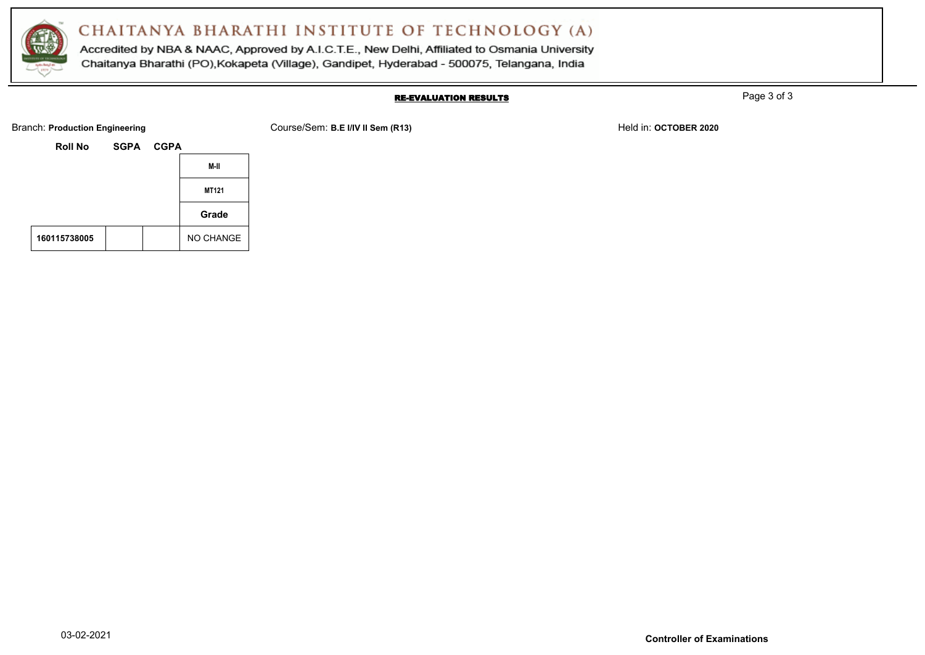

Accredited by NBA & NAAC, Approved by A.I.C.T.E., New Delhi, Affiliated to Osmania University Chaitanya Bharathi (PO), Kokapeta (Village), Gandipet, Hyderabad - 500075, Telangana, India

### RE-EVALUATION RESULTS

Page 3 of 3

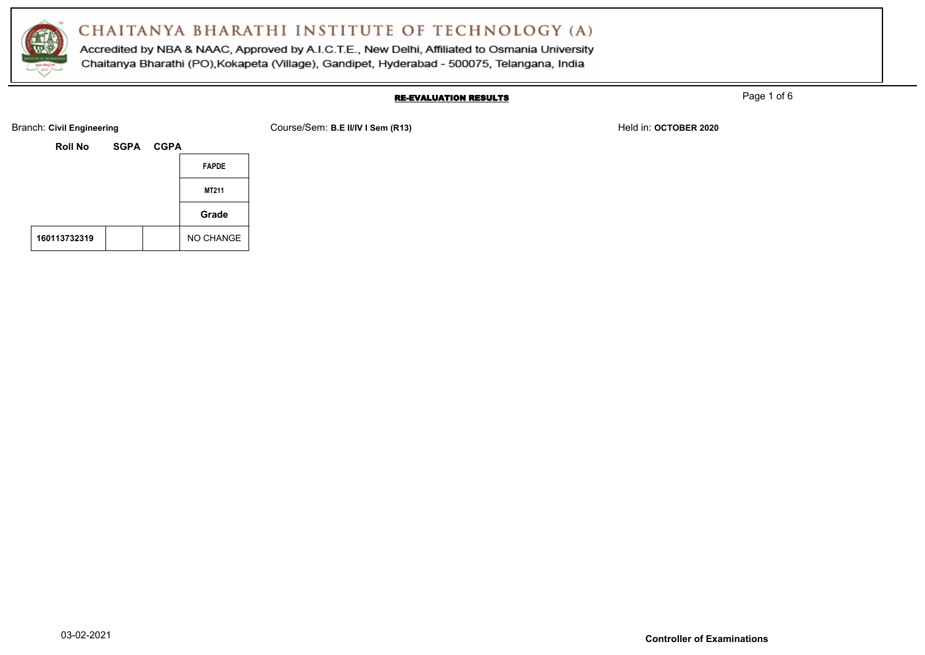

Accredited by NBA & NAAC, Approved by A.I.C.T.E., New Delhi, Affiliated to Osmania University Chaitanya Bharathi (PO), Kokapeta (Village), Gandipet, Hyderabad - 500075, Telangana, India

### RE-EVALUATION RESULTS

Page 1 of 6

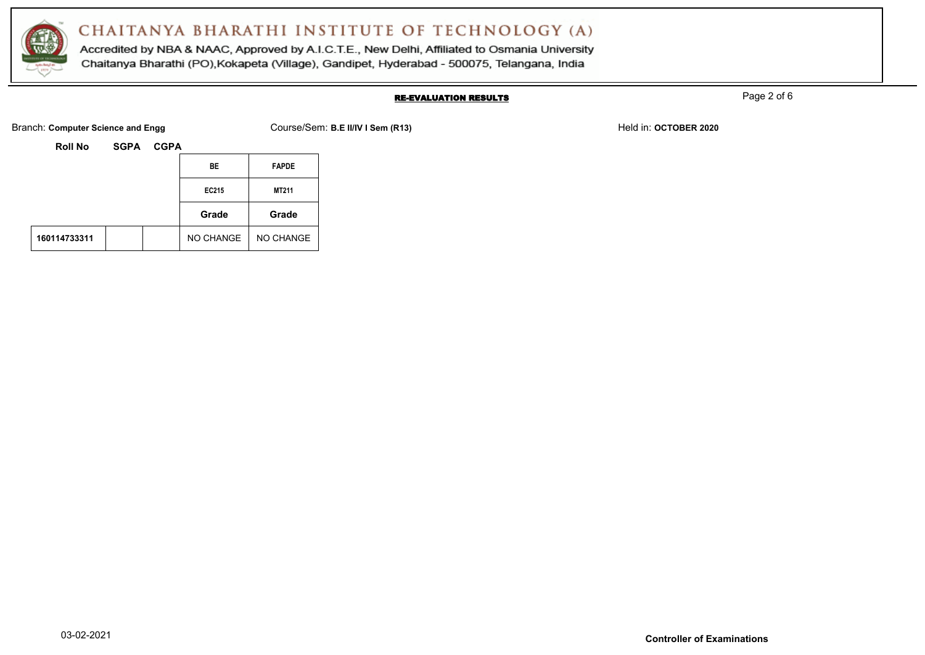

Accredited by NBA & NAAC, Approved by A.I.C.T.E., New Delhi, Affiliated to Osmania University Chaitanya Bharathi (PO), Kokapeta (Village), Gandipet, Hyderabad - 500075, Telangana, India

### RE-EVALUATION RESULTS

Page 2 of 6

Branch: **Computer Science and Engg** Course/Sem: **B.E II/IV I Sem (R13)** Held in: **OCTOBER 2020** Held in: **OCTOBER 2020** 

| Roll No | <b>SGPA</b> | <b>CGPA</b> |
|---------|-------------|-------------|
|---------|-------------|-------------|

|              |  | BE        | <b>FAPDE</b> |
|--------------|--|-----------|--------------|
|              |  | EC215     | MT211        |
|              |  | Grade     | Grade        |
| 160114733311 |  | NO CHANGE | NO CHANGE    |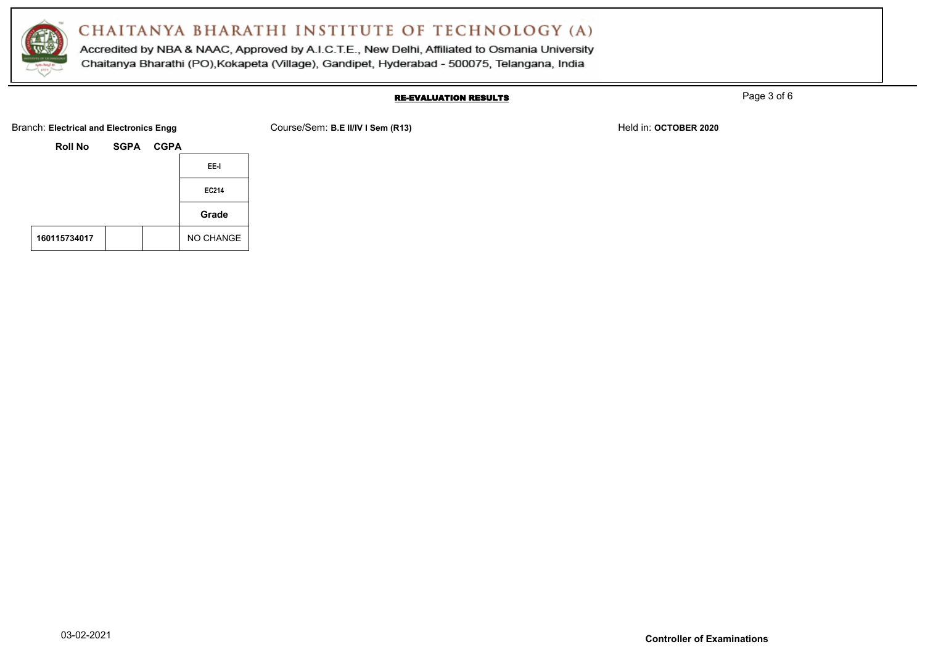

Accredited by NBA & NAAC, Approved by A.I.C.T.E., New Delhi, Affiliated to Osmania University Chaitanya Bharathi (PO), Kokapeta (Village), Gandipet, Hyderabad - 500075, Telangana, India

#### RE-EVALUATION RESULTS

Page 3 of 6

Branch: Electrical and Electronics Engg **Course/Sem: B.E II/IV I Sem (R13)** Held in: OCTOBER 2020

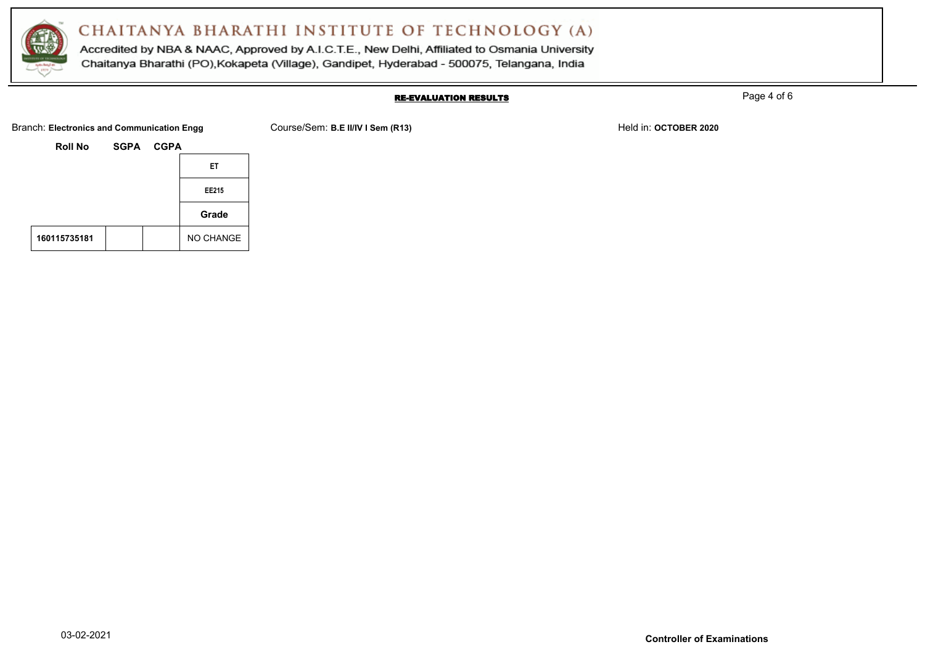

Accredited by NBA & NAAC, Approved by A.I.C.T.E., New Delhi, Affiliated to Osmania University Chaitanya Bharathi (PO), Kokapeta (Village), Gandipet, Hyderabad - 500075, Telangana, India

#### RE-EVALUATION RESULTS

Page 4 of 6

Branch: Electronics and Communication Engg Course/Sem: B.E II/IV I Sem (R13) Held in: OCTOBER 2020

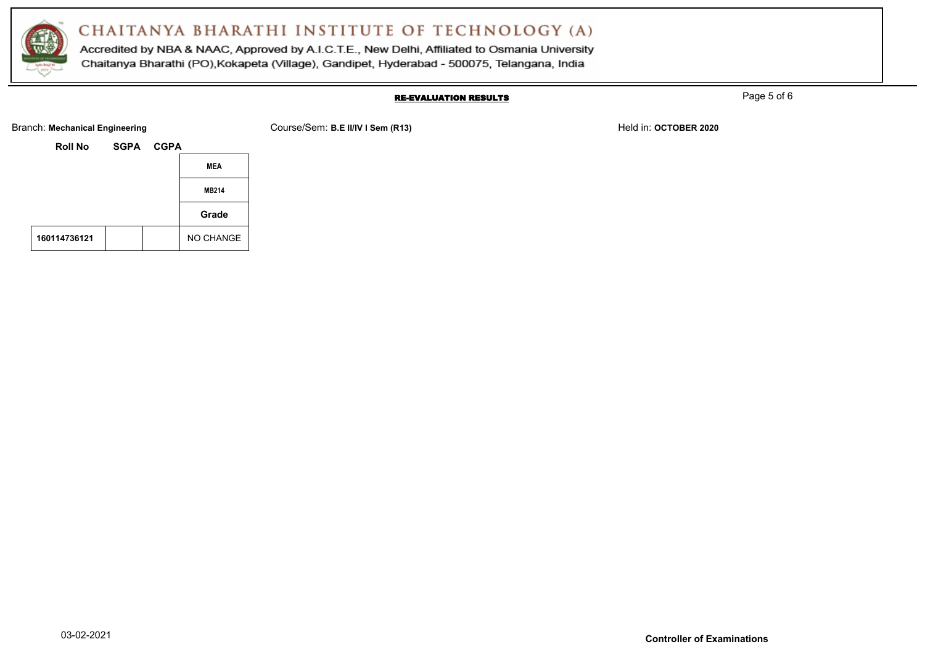

Accredited by NBA & NAAC, Approved by A.I.C.T.E., New Delhi, Affiliated to Osmania University Chaitanya Bharathi (PO), Kokapeta (Village), Gandipet, Hyderabad - 500075, Telangana, India

### RE-EVALUATION RESULTS

Page 5 of 6

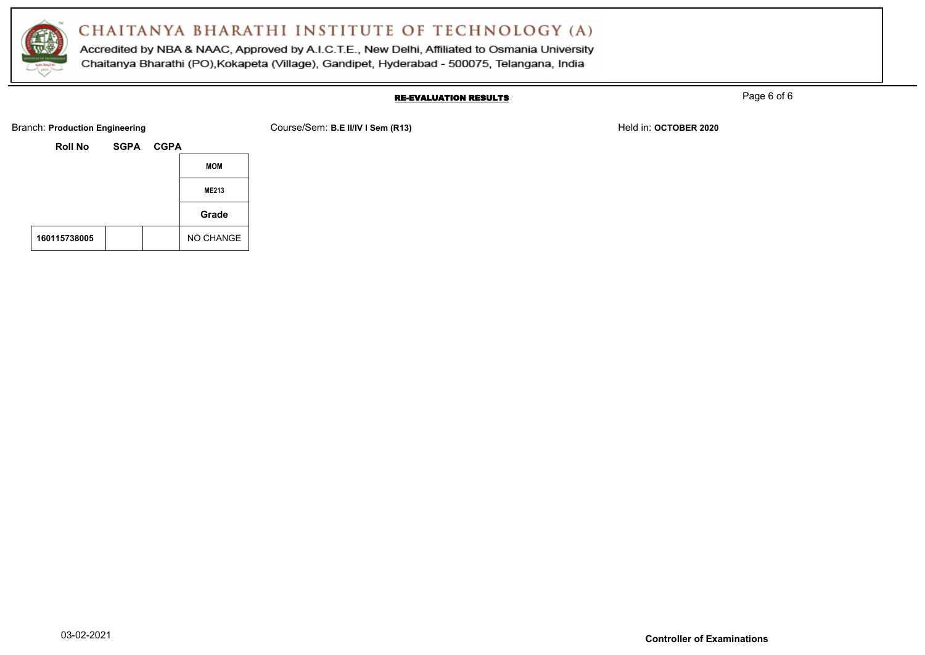

Accredited by NBA & NAAC, Approved by A.I.C.T.E., New Delhi, Affiliated to Osmania University Chaitanya Bharathi (PO), Kokapeta (Village), Gandipet, Hyderabad - 500075, Telangana, India

### RE-EVALUATION RESULTS

Page 6 of 6

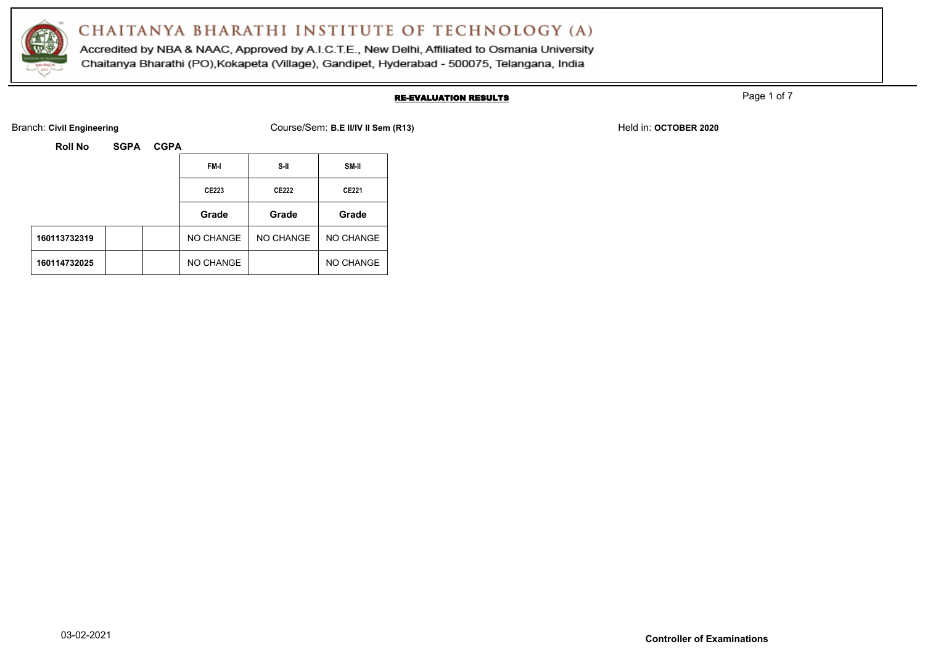

Accredited by NBA & NAAC, Approved by A.I.C.T.E., New Delhi, Affiliated to Osmania University Chaitanya Bharathi (PO), Kokapeta (Village), Gandipet, Hyderabad - 500075, Telangana, India

### RE-EVALUATION RESULTS

Page 1 of 7

Branch: Civil Engineering **COULS ACT AND COURSE COURSE COURSE ACT ACT ACT ACT ACT ACT OF COURSE ACT ACT OF COURSE ACT ACT OF COURSE ACT ACT OF COURSE ACT ACT OF COURSE ACT ACT OF COURSE ACT ACT OF COURSE ACT ACT OF COURSE** 

| <b>Roll No</b> | <b>SGPA</b> |
|----------------|-------------|
|----------------|-------------|

| <b>Roll No</b> | <b>SGPA</b> | <b>CGPA</b> |           |                  |           |
|----------------|-------------|-------------|-----------|------------------|-----------|
|                |             |             | FM-I      | S-II             | SM-II     |
|                |             |             | CE223     | CE222            | CE221     |
|                |             |             |           |                  |           |
|                |             |             | Grade     | Grade            | Grade     |
| 160113732319   |             |             | NO CHANGE | <b>NO CHANGE</b> | NO CHANGE |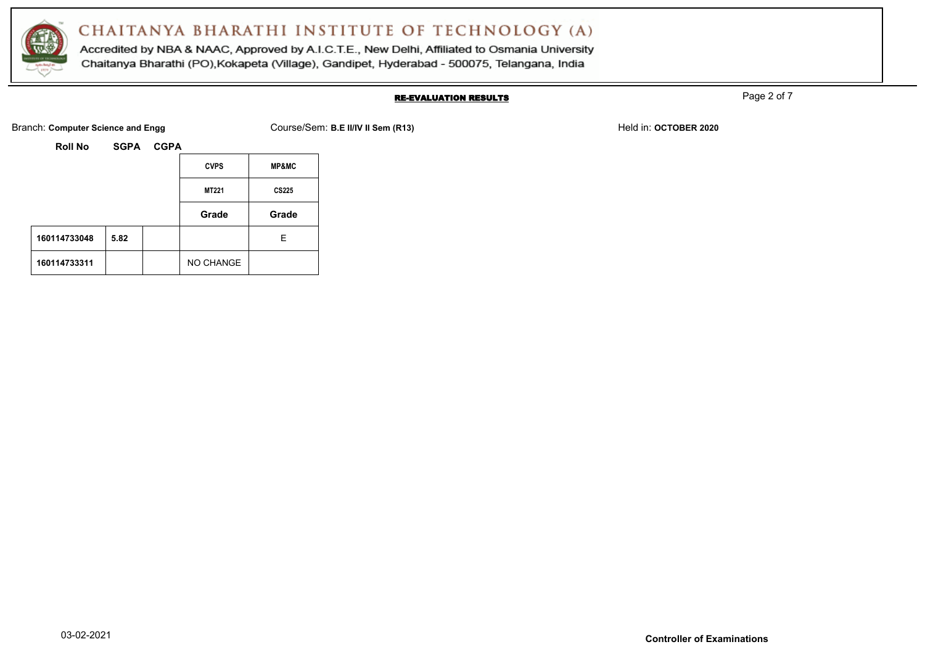

Accredited by NBA & NAAC, Approved by A.I.C.T.E., New Delhi, Affiliated to Osmania University Chaitanya Bharathi (PO), Kokapeta (Village), Gandipet, Hyderabad - 500075, Telangana, India

### RE-EVALUATION RESULTS

Page 2 of 7

Branch: **Computer Science and Engg** Course/Sem: **B.E II/IV II Sem (R13)** Held in: **OCTOBER 2020** 

|              |      | <b>CVPS</b>  | <b>MP&amp;MC</b> |
|--------------|------|--------------|------------------|
|              |      | <b>MT221</b> | <b>CS225</b>     |
|              |      | Grade        | Grade            |
| 160114733048 | 5.82 |              | Е                |
| 160114733311 |      | NO CHANGE    |                  |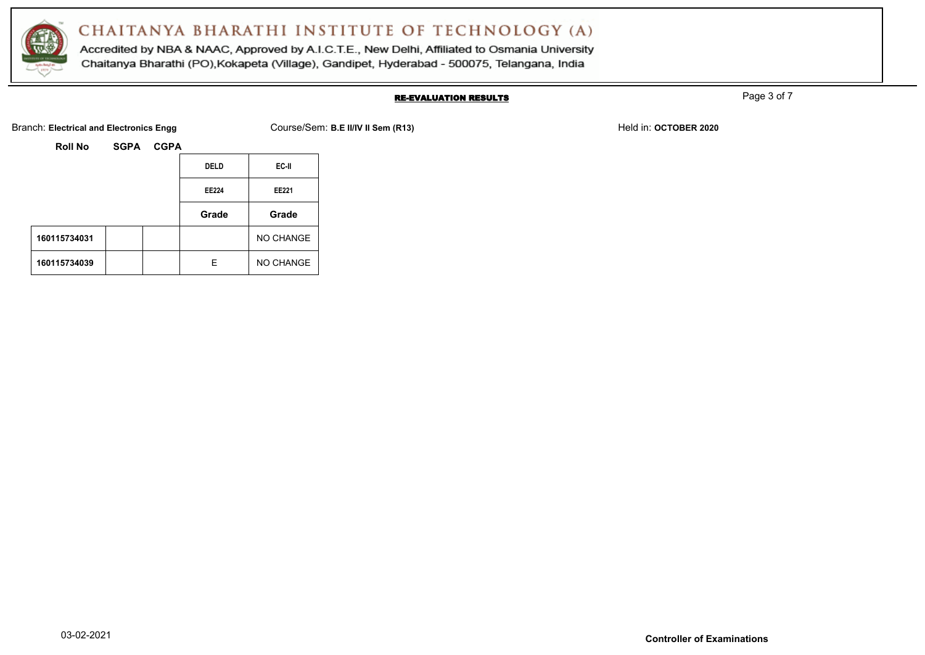

Accredited by NBA & NAAC, Approved by A.I.C.T.E., New Delhi, Affiliated to Osmania University Chaitanya Bharathi (PO), Kokapeta (Village), Gandipet, Hyderabad - 500075, Telangana, India

### RE-EVALUATION RESULTS

Page 3 of 7

Branch: Electrical and Electronics Engg **Course/Sem: B.E II/IV II Sem (R13)** Held in: OCTOBER 2020

| <b>Roll No</b> | <b>SGPA</b> | <b>CGPA</b> |
|----------------|-------------|-------------|
|                |             |             |

|              | <b>DELD</b> | EC-II        |
|--------------|-------------|--------------|
|              | EE224       | <b>EE221</b> |
|              | Grade       | Grade        |
| 160115734031 |             | NO CHANGE    |
| 160115734039 | F           | NO CHANGE    |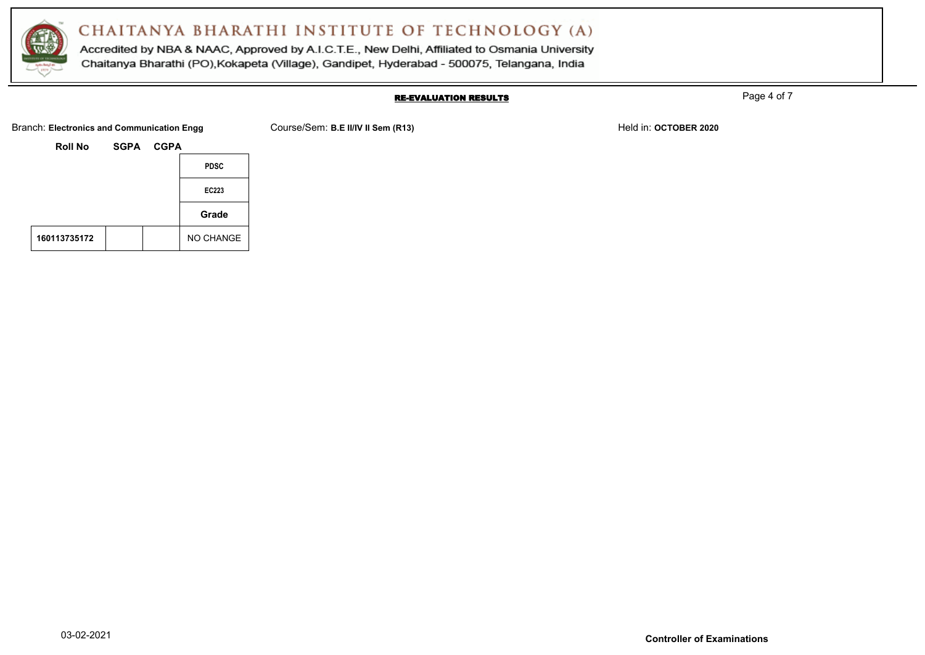

Accredited by NBA & NAAC, Approved by A.I.C.T.E., New Delhi, Affiliated to Osmania University Chaitanya Bharathi (PO), Kokapeta (Village), Gandipet, Hyderabad - 500075, Telangana, India

#### RE-EVALUATION RESULTS

Page 4 of 7

Branch: Electronics and Communication Engg Course/Sem: B.E II/IV II Sem (R13) Held in: OCTOBER 2020

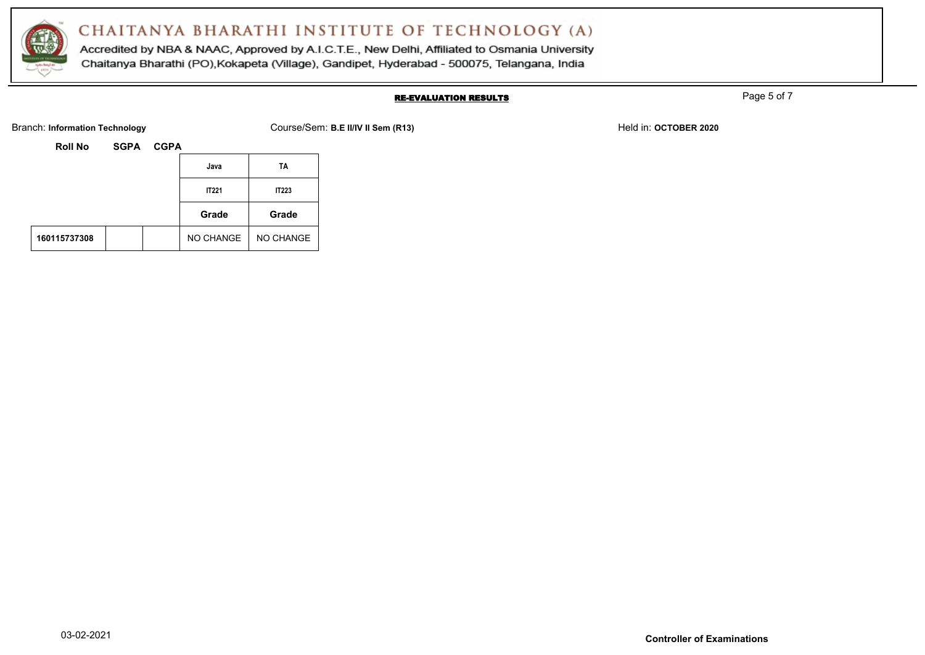

Accredited by NBA & NAAC, Approved by A.I.C.T.E., New Delhi, Affiliated to Osmania University Chaitanya Bharathi (PO), Kokapeta (Village), Gandipet, Hyderabad - 500075, Telangana, India

### RE-EVALUATION RESULTS

Page 5 of 7

Branch: Information Technology **Course/Sem: B.E II/IV II Sem (R13)** Held in: **OCTOBER 2020** Held in: **OCTOBER 2020** 

| Roll No | <b>SGPA</b> | <b>CGPA</b> |
|---------|-------------|-------------|
|         |             |             |

|              |  | Java         | TA           |
|--------------|--|--------------|--------------|
|              |  | <b>IT221</b> | <b>IT223</b> |
|              |  | Grade        | Grade        |
| 160115737308 |  | NO CHANGE    | NO CHANGE    |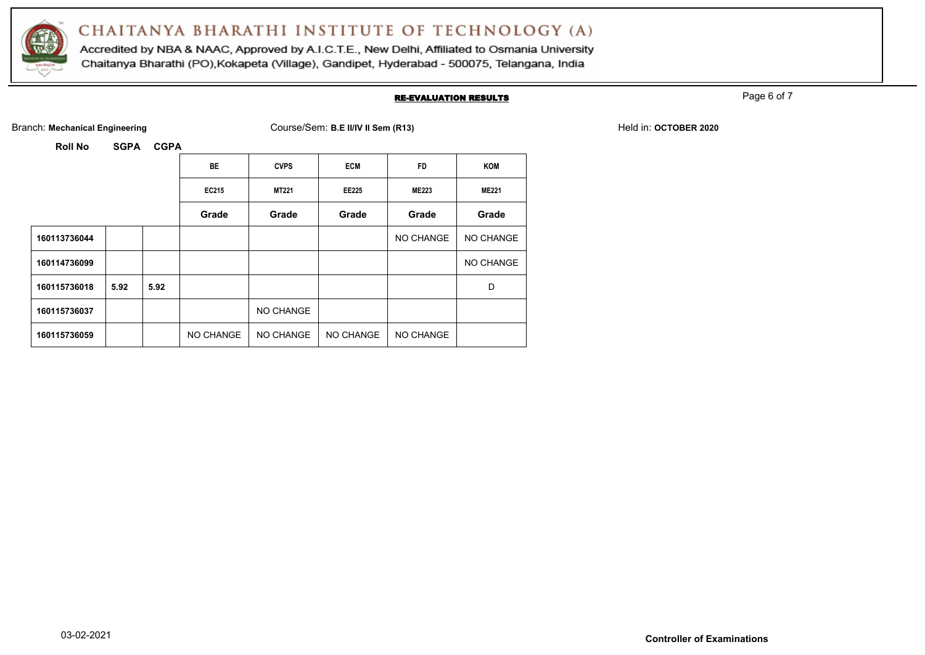

Accredited by NBA & NAAC, Approved by A.I.C.T.E., New Delhi, Affiliated to Osmania University Chaitanya Bharathi (PO), Kokapeta (Village), Gandipet, Hyderabad - 500075, Telangana, India

### RE-EVALUATION RESULTS

Page 6 of 7

Branch: Mechanical Engineering **COULS 2020** Course/Sem: **B.E II/IV II Sem (R13)** Held in: **OCTOBER 2020** Held in: **OCTOBER 2020** 

|              |      |      | <b>BE</b> | <b>CVPS</b> | <b>ECM</b>   | <b>FD</b>    | <b>KOM</b>   |
|--------------|------|------|-----------|-------------|--------------|--------------|--------------|
|              |      |      | EC215     | MT221       | <b>EE225</b> | <b>ME223</b> | <b>ME221</b> |
|              |      |      | Grade     | Grade       | Grade        | Grade        | Grade        |
| 160113736044 |      |      |           |             |              | NO CHANGE    | NO CHANGE    |
| 160114736099 |      |      |           |             |              |              | NO CHANGE    |
| 160115736018 | 5.92 | 5.92 |           |             |              |              | D            |
| 160115736037 |      |      |           | NO CHANGE   |              |              |              |
| 160115736059 |      |      | NO CHANGE | NO CHANGE   | NO CHANGE    | NO CHANGE    |              |
|              |      |      |           |             |              |              |              |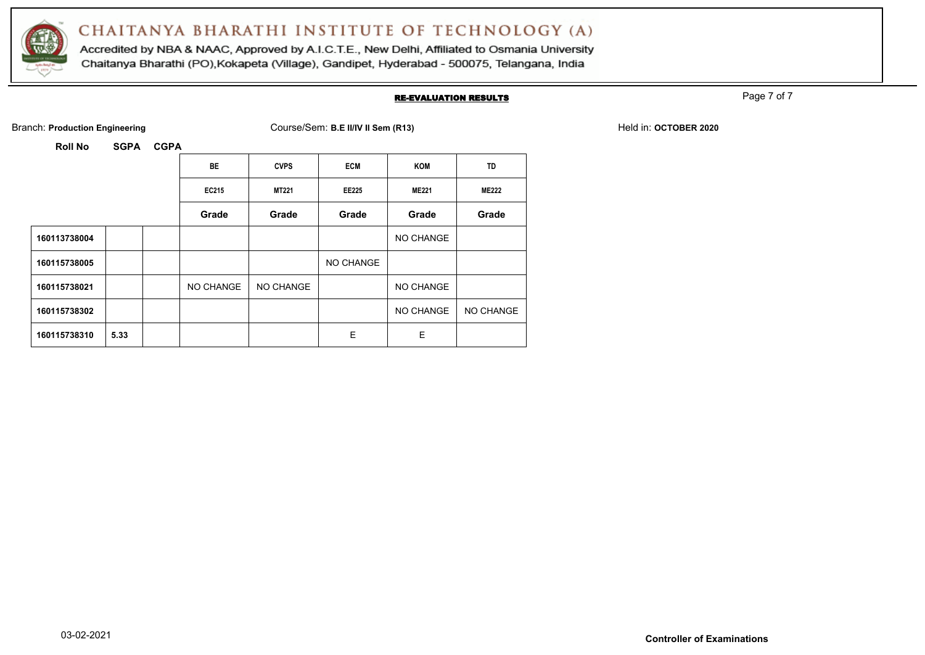

Accredited by NBA & NAAC, Approved by A.I.C.T.E., New Delhi, Affiliated to Osmania University Chaitanya Bharathi (PO), Kokapeta (Village), Gandipet, Hyderabad - 500075, Telangana, India

### RE-EVALUATION RESULTS

Page 7 of 7

Branch: **Production Engineering** The Course/Sem: **B.E II/IV II Sem (R13)** Held in: **OCTOBER 2020** Held in: **OCTOBER 2020** 

|              |      | <b>BE</b> | <b>CVPS</b>  | <b>ECM</b>   | KOM          | TD           |
|--------------|------|-----------|--------------|--------------|--------------|--------------|
|              |      | EC215     | <b>MT221</b> | <b>EE225</b> | <b>ME221</b> | <b>ME222</b> |
|              |      | Grade     | Grade        | Grade        | Grade        | Grade        |
| 160113738004 |      |           |              |              | NO CHANGE    |              |
| 160115738005 |      |           |              | NO CHANGE    |              |              |
| 160115738021 |      | NO CHANGE | NO CHANGE    |              | NO CHANGE    |              |
| 160115738302 |      |           |              |              | NO CHANGE    | NO CHANGE    |
| 160115738310 | 5.33 |           |              | E            | E            |              |
|              |      |           |              |              |              |              |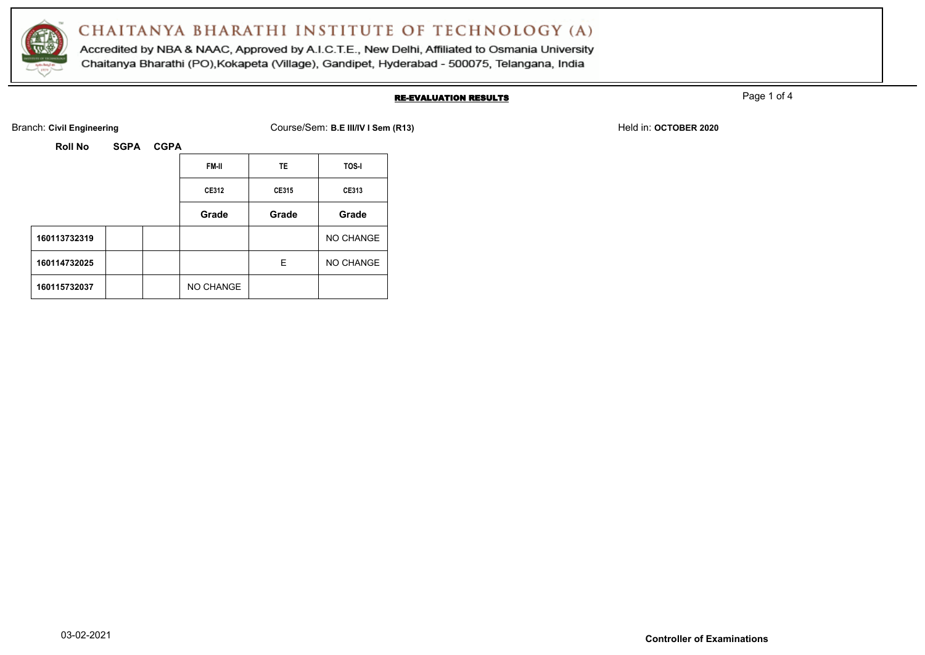

Accredited by NBA & NAAC, Approved by A.I.C.T.E., New Delhi, Affiliated to Osmania University Chaitanya Bharathi (PO), Kokapeta (Village), Gandipet, Hyderabad - 500075, Telangana, India

### RE-EVALUATION RESULTS

Page 1 of 4

Branch: **Civil Engineering** Course/Sem: **B.E III/IV I Sem (R13)** Held in: **OCTOBER 2020**

| Roll No | <b>SGPA</b> | <b>CGPA</b> |
|---------|-------------|-------------|
|         |             |             |

|              |  | <b>FM-II</b> | TE    | TOS-I     |
|--------------|--|--------------|-------|-----------|
|              |  | CE312        | CE315 | CE313     |
|              |  | Grade        | Grade | Grade     |
| 160113732319 |  |              |       | NO CHANGE |
| 160114732025 |  |              | Е     | NO CHANGE |
| 160115732037 |  | NO CHANGE    |       |           |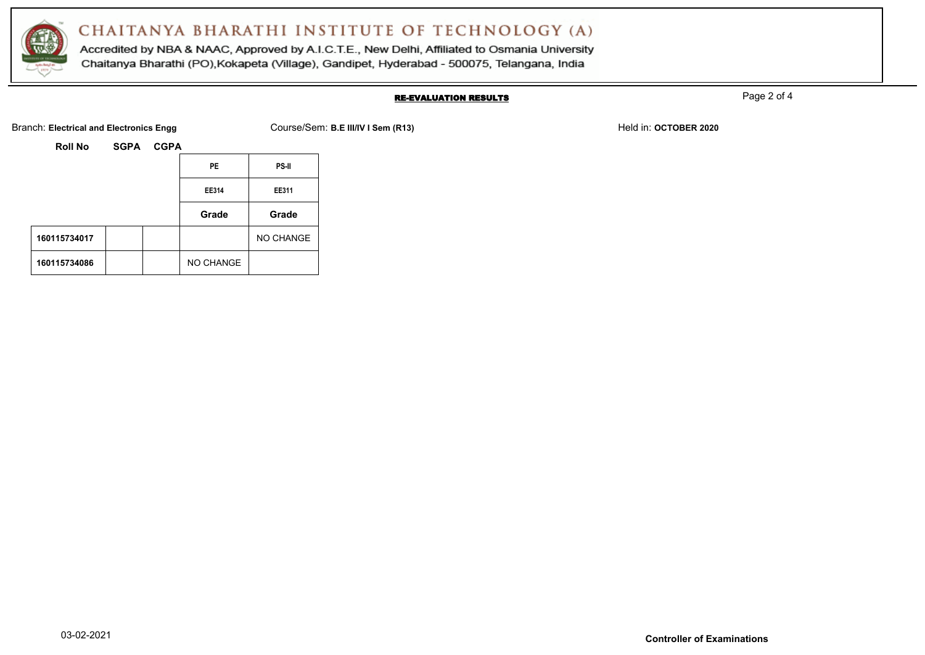

Accredited by NBA & NAAC, Approved by A.I.C.T.E., New Delhi, Affiliated to Osmania University Chaitanya Bharathi (PO), Kokapeta (Village), Gandipet, Hyderabad - 500075, Telangana, India

### RE-EVALUATION RESULTS

Page 2 of 4

Branch: Electrical and Electronics Engg **Course/Sem: B.E III/IV I Sem (R13)** Held in: OCTOBER 2020

|              |  | <b>PE</b> | PS-II     |
|--------------|--|-----------|-----------|
|              |  | EE314     | EE311     |
|              |  | Grade     | Grade     |
| 160115734017 |  |           | NO CHANGE |
| 160115734086 |  | NO CHANGE |           |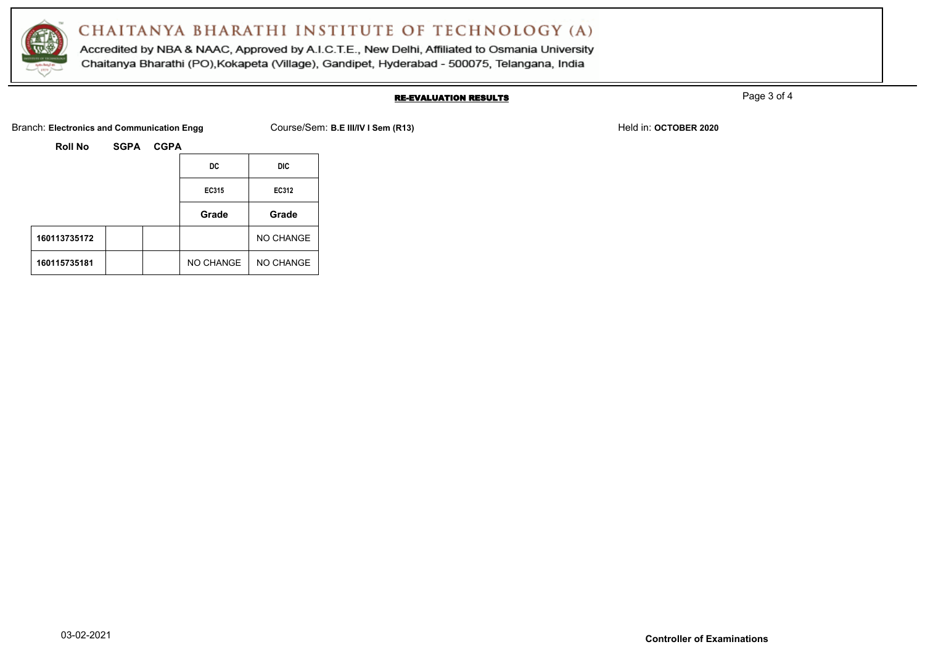

Accredited by NBA & NAAC, Approved by A.I.C.T.E., New Delhi, Affiliated to Osmania University Chaitanya Bharathi (PO), Kokapeta (Village), Gandipet, Hyderabad - 500075, Telangana, India

### RE-EVALUATION RESULTS

Page 3 of 4

Branch: Electronics and Communication Engg Course/Sem: B.E III/IV I Sem (R13) Held in: OCTOBER 2020

|  | Roll No |  | <b>SGPA</b> |
|--|---------|--|-------------|
|--|---------|--|-------------|

|              |  | DC        | DIC       |
|--------------|--|-----------|-----------|
|              |  | EC315     | EC312     |
|              |  | Grade     | Grade     |
| 160113735172 |  |           | NO CHANGE |
| 160115735181 |  | NO CHANGE | NO CHANGE |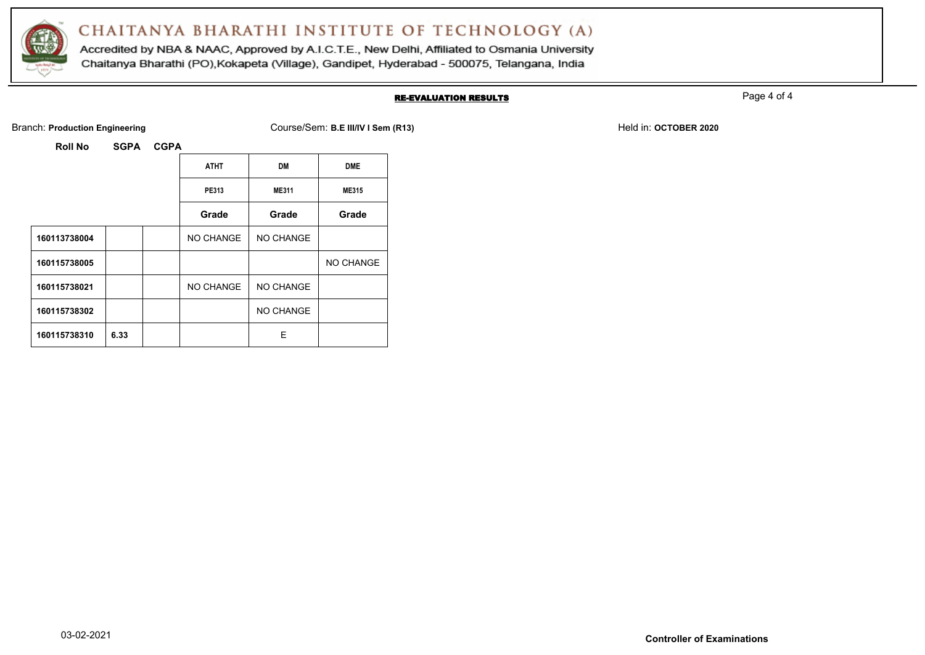

Accredited by NBA & NAAC, Approved by A.I.C.T.E., New Delhi, Affiliated to Osmania University Chaitanya Bharathi (PO), Kokapeta (Village), Gandipet, Hyderabad - 500075, Telangana, India

### RE-EVALUATION RESULTS

Page 4 of 4

Branch: **Production Engineering** The School Course/Sem: **B.E III/IV I Sem (R13)** Held in: **OCTOBER 2020** Held in: **OCTOBER 2020** 

|              |      | <b>ATHT</b> | <b>DM</b>    | <b>DME</b>   |
|--------------|------|-------------|--------------|--------------|
|              |      | PE313       | <b>ME311</b> | <b>ME315</b> |
|              |      | Grade       | Grade        | Grade        |
| 160113738004 |      | NO CHANGE   | NO CHANGE    |              |
| 160115738005 |      |             |              | NO CHANGE    |
| 160115738021 |      | NO CHANGE   | NO CHANGE    |              |
| 160115738302 |      |             | NO CHANGE    |              |
| 160115738310 | 6.33 |             | Е            |              |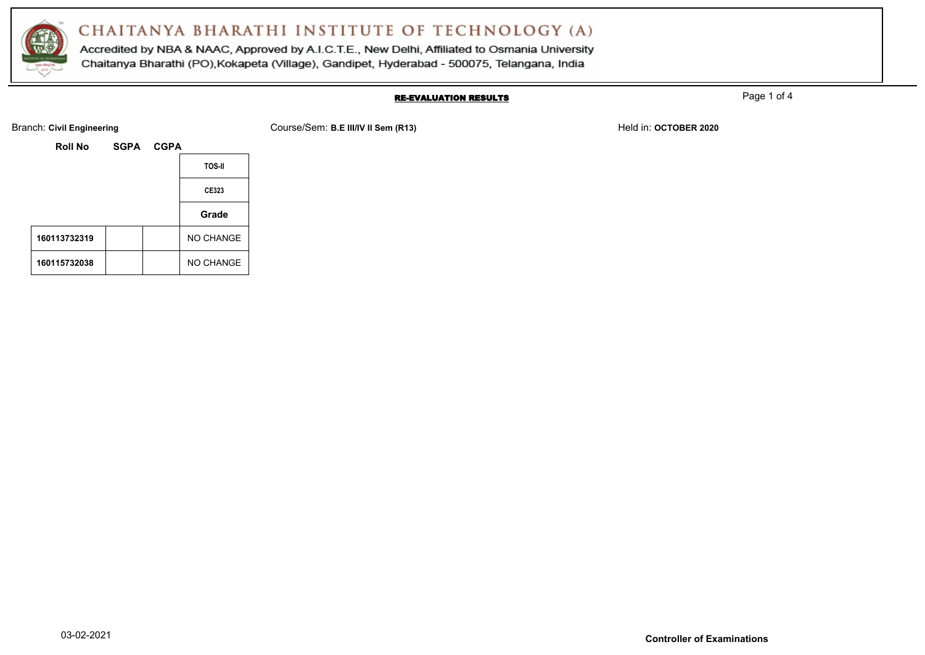

Accredited by NBA & NAAC, Approved by A.I.C.T.E., New Delhi, Affiliated to Osmania University Chaitanya Bharathi (PO), Kokapeta (Village), Gandipet, Hyderabad - 500075, Telangana, India

### RE-EVALUATION RESULTS

Page 1 of 4

Branch: Civil Engineering **COULS ENGINEER 2020** Course/Sem: **B.E III/IV II Sem (R13)** Held in: **OCTOBER 2020** Held in: **OCTOBER 2020** 

| <b>Roll No</b> | SGPA CGPA |               |
|----------------|-----------|---------------|
|                |           | <b>TOS-II</b> |
|                |           | CE323         |
|                |           | Grade         |
| 160113732319   |           | NO CHANGE     |
| 160115732038   |           | NO CHANGE     |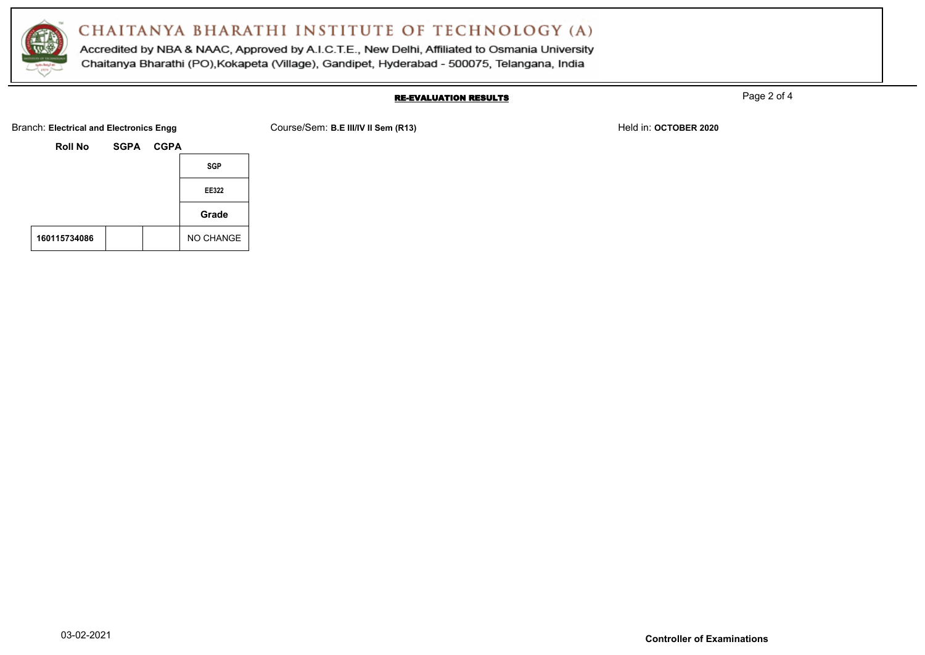

Accredited by NBA & NAAC, Approved by A.I.C.T.E., New Delhi, Affiliated to Osmania University Chaitanya Bharathi (PO), Kokapeta (Village), Gandipet, Hyderabad - 500075, Telangana, India

#### RE-EVALUATION RESULTS

Page 2 of 4

Branch: **Electrical and Electronics Engg Course/Sem: B.E III/IV II Sem (R13)** Held in: **OCTOBER 2020** Held in: **OCTOBER 2020** 

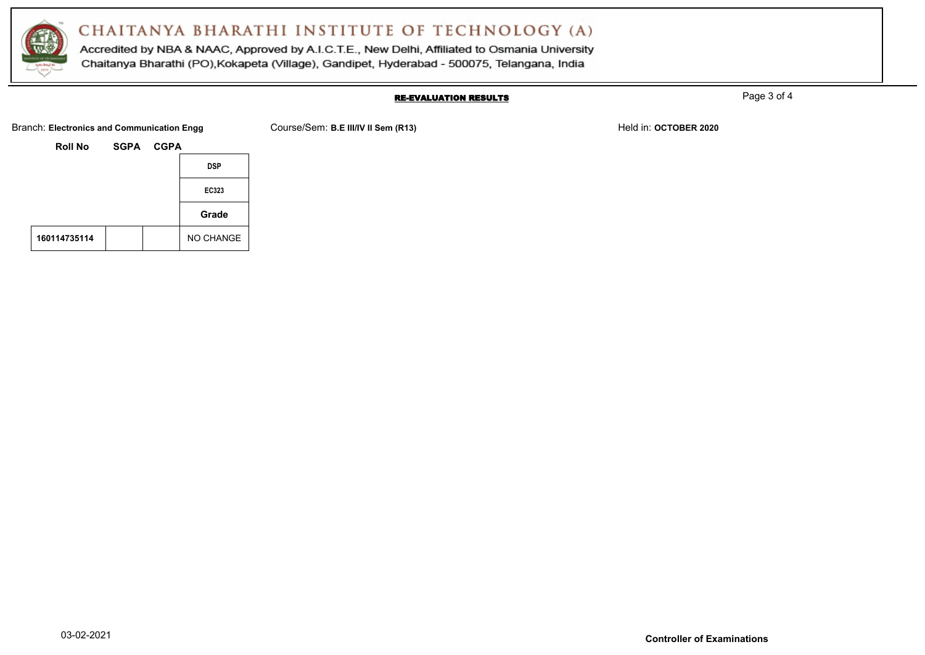

Accredited by NBA & NAAC, Approved by A.I.C.T.E., New Delhi, Affiliated to Osmania University Chaitanya Bharathi (PO), Kokapeta (Village), Gandipet, Hyderabad - 500075, Telangana, India

#### RE-EVALUATION RESULTS

Page 3 of 4

Branch: Electronics and Communication Engg Course/Sem: B.E III/IV II Sem (R13) Held in: OCTOBER 2020

**Roll No SGPA CGPA DSP EC323 Grade** 160114735114 | | | | NO CHANGE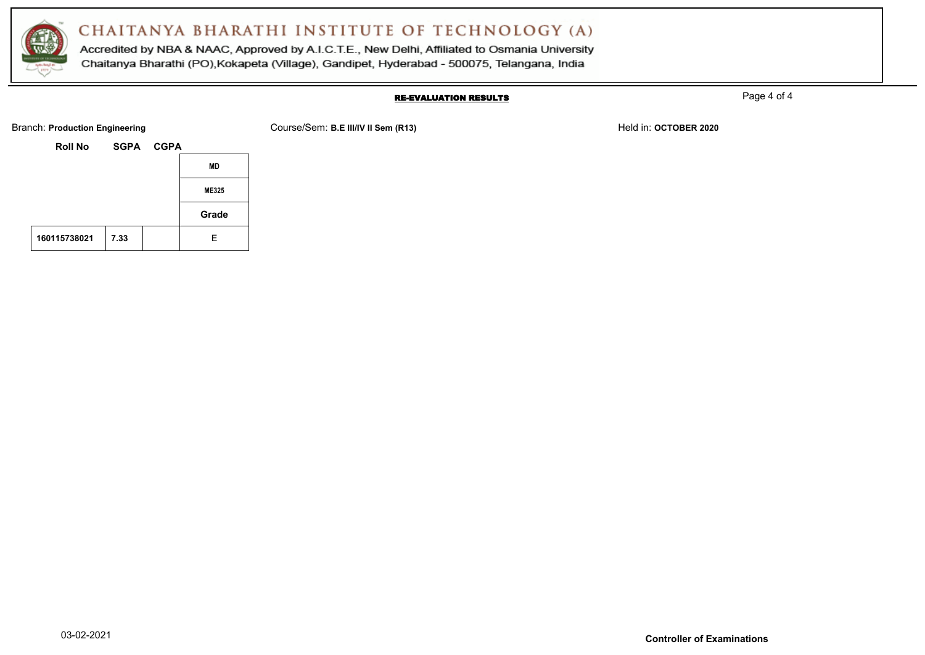

Accredited by NBA & NAAC, Approved by A.I.C.T.E., New Delhi, Affiliated to Osmania University Chaitanya Bharathi (PO), Kokapeta (Village), Gandipet, Hyderabad - 500075, Telangana, India

### RE-EVALUATION RESULTS

Page 4 of 4

Branch: **Production Engineering** The School Course/Sem: **B.E III/IV II Sem (R13)** Held in: **OCTOBER 2020** Held in: **OCTOBER 2020** 

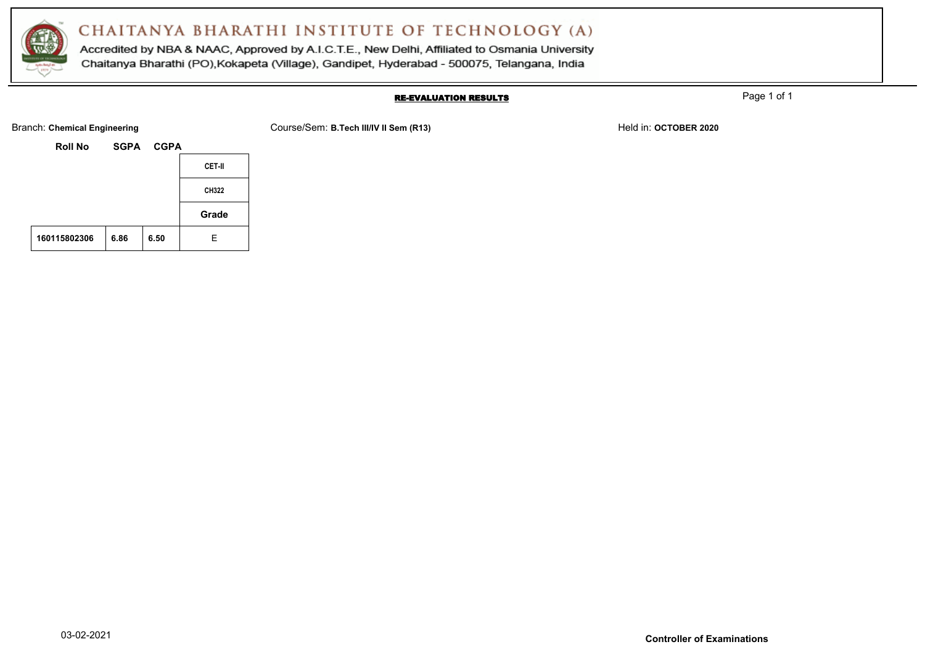

Accredited by NBA & NAAC, Approved by A.I.C.T.E., New Delhi, Affiliated to Osmania University Chaitanya Bharathi (PO), Kokapeta (Village), Gandipet, Hyderabad - 500075, Telangana, India

### RE-EVALUATION RESULTS

Page 1 of 1

Branch: Chemical Engineering **COURSE 2020** Course/Sem: B.Tech III/IV II Sem (R13) Held in: OCTOBER 2020

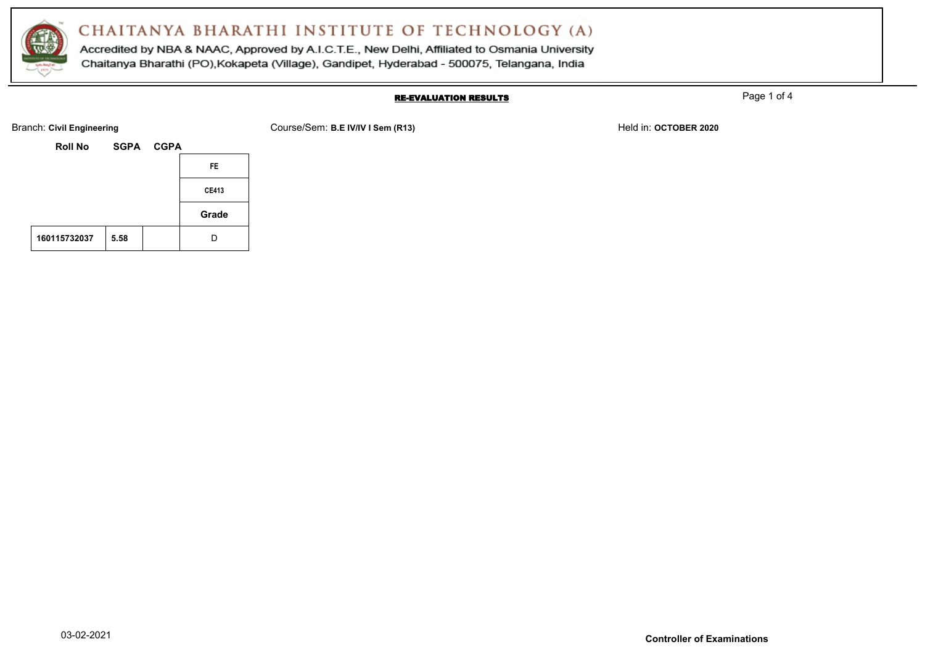

Accredited by NBA & NAAC, Approved by A.I.C.T.E., New Delhi, Affiliated to Osmania University Chaitanya Bharathi (PO), Kokapeta (Village), Gandipet, Hyderabad - 500075, Telangana, India

### RE-EVALUATION RESULTS

Page 1 of 4

**Roll No SGPA CGPA FE CE413**



Branch: Civil Engineering **COURSE 2020** Course/Sem: B.E IV/IV I Sem (R13) Held in: OCTOBER 2020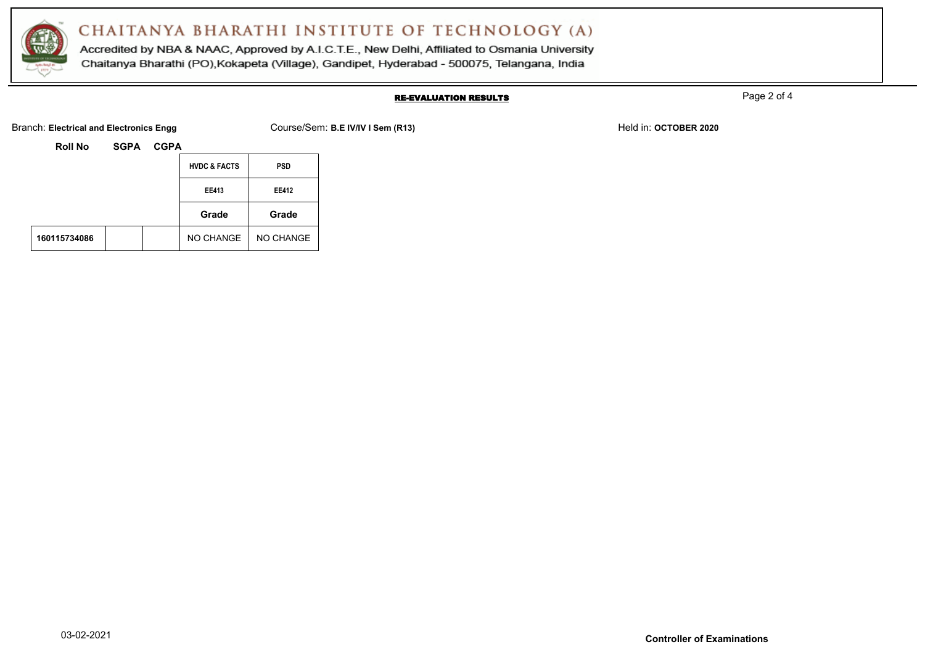

Accredited by NBA & NAAC, Approved by A.I.C.T.E., New Delhi, Affiliated to Osmania University Chaitanya Bharathi (PO), Kokapeta (Village), Gandipet, Hyderabad - 500075, Telangana, India

### RE-EVALUATION RESULTS

Page 2 of 4

Branch: Electrical and Electronics Engg **Course/Sem: B.E IV/IV I Sem (R13)** Held in: OCTOBER 2020

|              |  | <b>HVDC &amp; FACTS</b> | <b>PSD</b> |
|--------------|--|-------------------------|------------|
|              |  | <b>EE413</b>            | EE412      |
|              |  | Grade                   | Grade      |
| 160115734086 |  | NO CHANGE               | NO CHANGE  |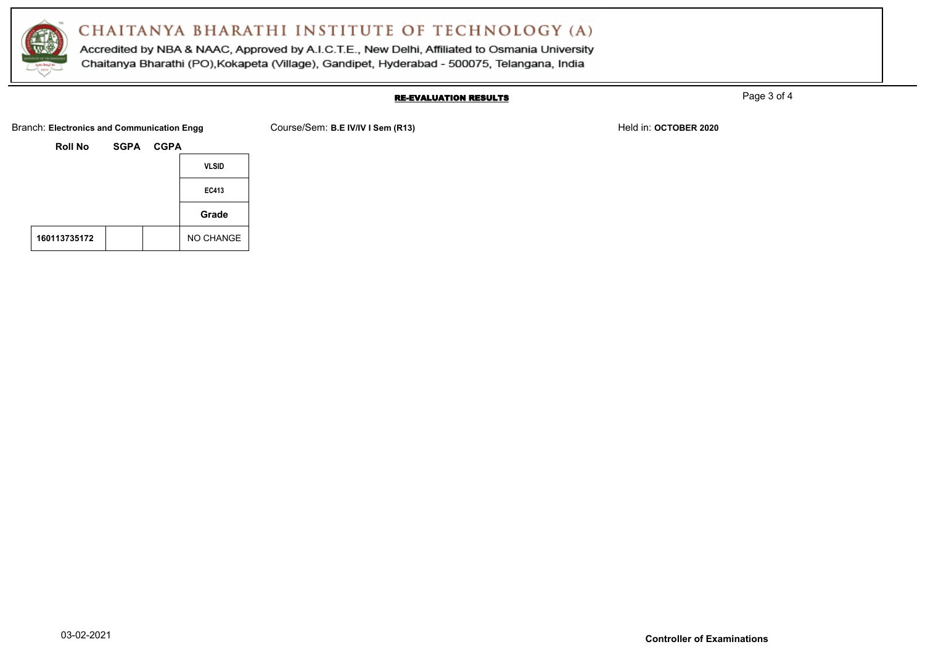

Accredited by NBA & NAAC, Approved by A.I.C.T.E., New Delhi, Affiliated to Osmania University Chaitanya Bharathi (PO), Kokapeta (Village), Gandipet, Hyderabad - 500075, Telangana, India

#### RE-EVALUATION RESULTS

Page 3 of 4

Branch: Electronics and Communication Engg Course/Sem: B.E IV/IV I Sem (R13) Held in: OCTOBER 2020

**Roll No SGPA CGPA VLSID EC413 Grade** 160113735172 | | | NO CHANGE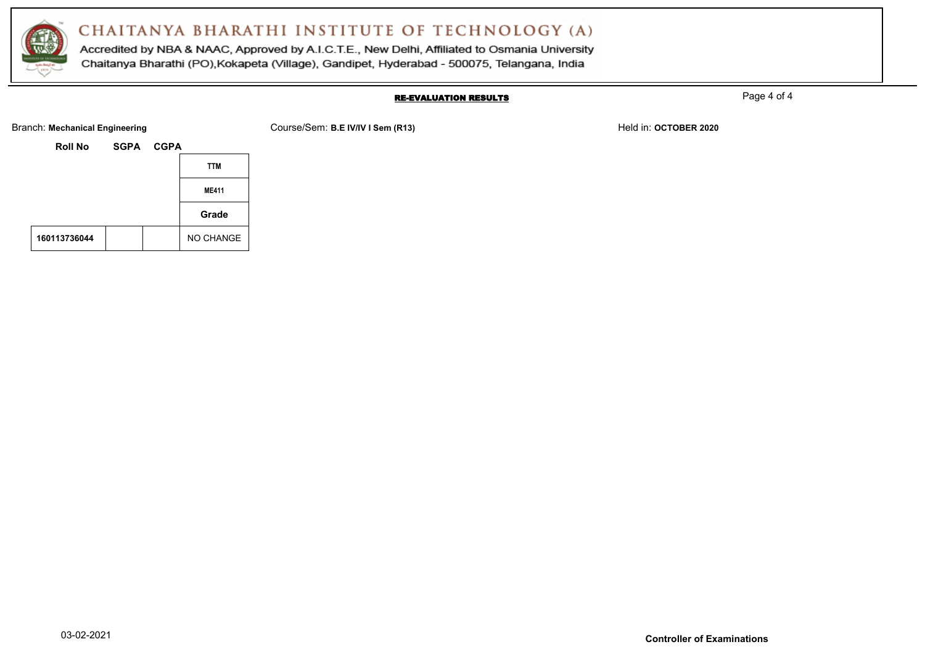

Accredited by NBA & NAAC, Approved by A.I.C.T.E., New Delhi, Affiliated to Osmania University Chaitanya Bharathi (PO), Kokapeta (Village), Gandipet, Hyderabad - 500075, Telangana, India

#### RE-EVALUATION RESULTS

Page 4 of 4